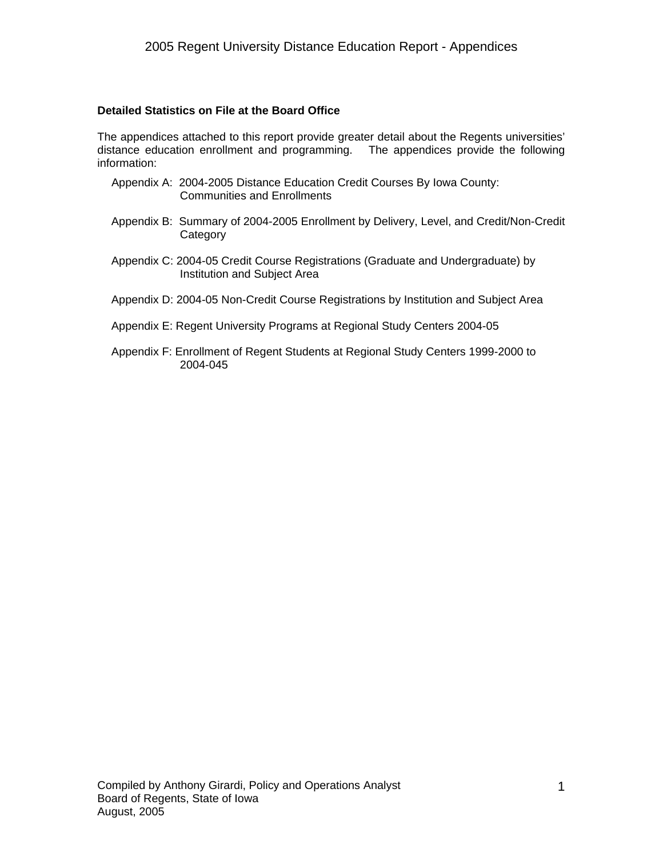#### **Detailed Statistics on File at the Board Office**

The appendices attached to this report provide greater detail about the Regents universities' distance education enrollment and programming. The appendices provide the following information:

- Appendix A: 2004-2005 Distance Education Credit Courses By Iowa County: Communities and Enrollments
- Appendix B: Summary of 2004-2005 Enrollment by Delivery, Level, and Credit/Non-Credit **Category**
- Appendix C: 2004-05 Credit Course Registrations (Graduate and Undergraduate) by Institution and Subject Area
- Appendix D: 2004-05 Non-Credit Course Registrations by Institution and Subject Area

#### Appendix E: Regent University Programs at Regional Study Centers 2004-05

Appendix F: Enrollment of Regent Students at Regional Study Centers 1999-2000 to 2004-045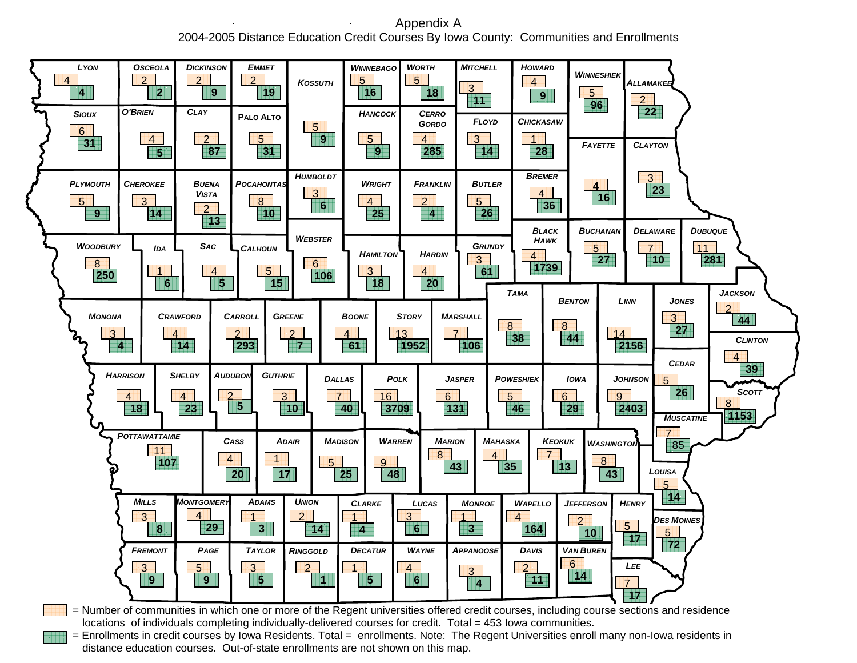Appendix A 2004-2005 Distance Education Credit Courses By Iowa County: Communities and Enrollments



locations of individuals completing individually-delivered courses for credit. Total = 453 Iowa communities.

= Enrollments in credit courses by Iowa Residents. Total = enrollments. Note: The Regent Universities enroll many non-Iowa residents in distance education courses. Out-of-state enrollments are not shown on this map.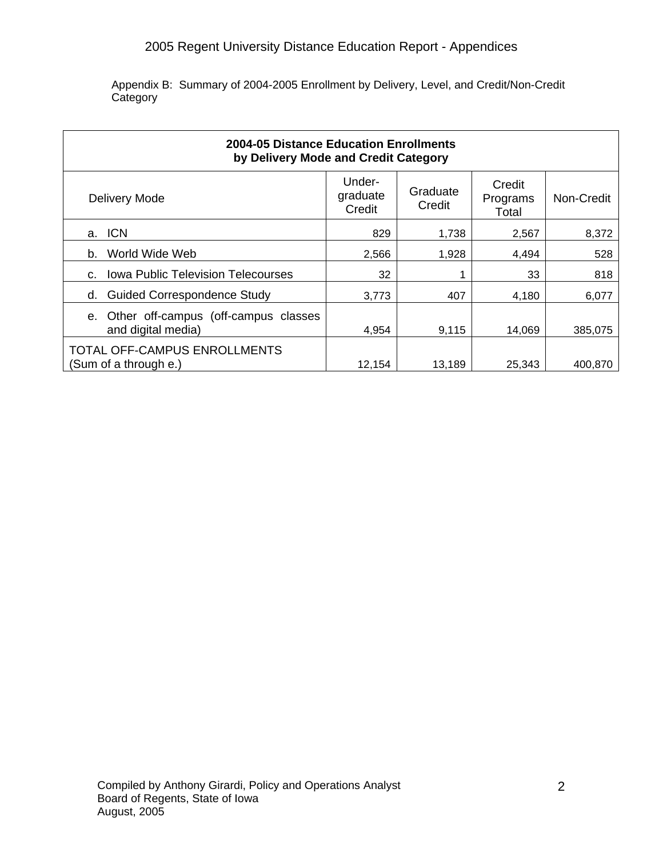#### 2005 Regent University Distance Education Report - Appendices

Appendix B: Summary of 2004-2005 Enrollment by Delivery, Level, and Credit/Non-Credit Category

| 2004-05 Distance Education Enrollments<br>by Delivery Mode and Credit Category |                              |                    |                             |            |  |  |  |  |
|--------------------------------------------------------------------------------|------------------------------|--------------------|-----------------------------|------------|--|--|--|--|
| Delivery Mode                                                                  | Under-<br>graduate<br>Credit | Graduate<br>Credit | Credit<br>Programs<br>Total | Non-Credit |  |  |  |  |
| <b>ICN</b><br>a.                                                               | 829                          | 1.738              | 2,567                       | 8,372      |  |  |  |  |
| World Wide Web<br>b.                                                           | 2,566                        | 1,928              | 4,494                       | 528        |  |  |  |  |
| <b>Iowa Public Television Telecourses</b><br>C.                                | 32                           |                    | 33                          | 818        |  |  |  |  |
| <b>Guided Correspondence Study</b><br>d.                                       | 3,773                        | 407                | 4.180                       | 6,077      |  |  |  |  |
| e. Other off-campus (off-campus classes<br>and digital media)                  | 4,954                        | 9,115              | 14,069                      | 385,075    |  |  |  |  |
| TOTAL OFF-CAMPUS ENROLLMENTS<br>(Sum of a through e.)                          | 12.154                       | 13.189             | 25.343                      | 400.870    |  |  |  |  |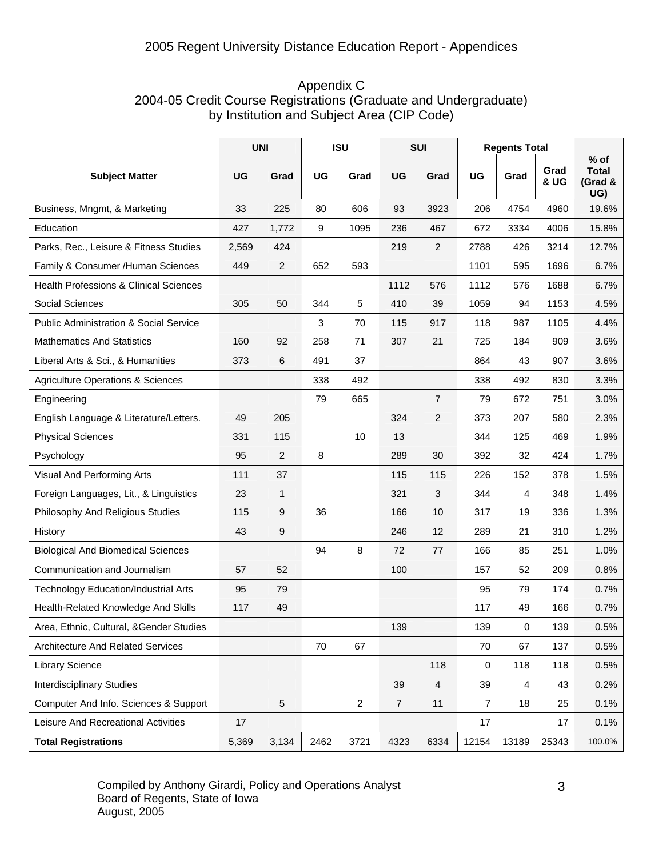| Appendix C                                                       |
|------------------------------------------------------------------|
| 2004-05 Credit Course Registrations (Graduate and Undergraduate) |
| by Institution and Subject Area (CIP Code)                       |

|                                                   | <b>UNI</b> |                | <b>ISU</b> |                | <b>SUI</b>       |                | <b>Regents Total</b> |       |              |                                          |
|---------------------------------------------------|------------|----------------|------------|----------------|------------------|----------------|----------------------|-------|--------------|------------------------------------------|
| <b>Subject Matter</b>                             | <b>UG</b>  | Grad           | <b>UG</b>  | Grad           | UG               | Grad           | <b>UG</b>            | Grad  | Grad<br>& UG | $%$ of<br><b>Total</b><br>(Grad &<br>UG) |
| Business, Mngmt, & Marketing                      | 33         | 225            | 80         | 606            | 93               | 3923           | 206                  | 4754  | 4960         | 19.6%                                    |
| Education                                         | 427        | 1,772          | 9          | 1095           | 236              | 467            | 672                  | 3334  | 4006         | 15.8%                                    |
| Parks, Rec., Leisure & Fitness Studies            | 2,569      | 424            |            |                | 219              | $\overline{2}$ | 2788                 | 426   | 3214         | 12.7%                                    |
| Family & Consumer /Human Sciences                 | 449        | $\overline{2}$ | 652        | 593            |                  |                | 1101                 | 595   | 1696         | 6.7%                                     |
| <b>Health Professions &amp; Clinical Sciences</b> |            |                |            |                | 1112             | 576            | 1112                 | 576   | 1688         | 6.7%                                     |
| Social Sciences                                   | 305        | 50             | 344        | 5              | 410              | 39             | 1059                 | 94    | 1153         | 4.5%                                     |
| <b>Public Administration &amp; Social Service</b> |            |                | 3          | 70             | 115              | 917            | 118                  | 987   | 1105         | 4.4%                                     |
| <b>Mathematics And Statistics</b>                 | 160        | 92             | 258        | 71             | 307              | 21             | 725                  | 184   | 909          | 3.6%                                     |
| Liberal Arts & Sci., & Humanities                 | 373        | 6              | 491        | 37             |                  |                | 864                  | 43    | 907          | 3.6%                                     |
| <b>Agriculture Operations &amp; Sciences</b>      |            |                | 338        | 492            |                  |                | 338                  | 492   | 830          | 3.3%                                     |
| Engineering                                       |            |                | 79         | 665            |                  | $\overline{7}$ | 79                   | 672   | 751          | 3.0%                                     |
| English Language & Literature/Letters.            | 49         | 205            |            |                | 324              | 2              | 373                  | 207   | 580          | 2.3%                                     |
| <b>Physical Sciences</b>                          | 331        | 115            |            | 10             | 13               |                | 344                  | 125   | 469          | 1.9%                                     |
| Psychology                                        | 95         | $\overline{2}$ | 8          |                | 289              | 30             | 392                  | 32    | 424          | 1.7%                                     |
| Visual And Performing Arts                        | 111        | 37             |            |                | 115              | 115            | 226                  | 152   | 378          | 1.5%                                     |
| Foreign Languages, Lit., & Linguistics            | 23         | $\mathbf{1}$   |            |                | 321              | 3              | 344                  | 4     | 348          | 1.4%                                     |
| Philosophy And Religious Studies                  | 115        | 9              | 36         |                | 166              | 10             | 317                  | 19    | 336          | 1.3%                                     |
| History                                           | 43         | 9              |            |                | 246              | 12             | 289                  | 21    | 310          | 1.2%                                     |
| <b>Biological And Biomedical Sciences</b>         |            |                | 94         | 8              | 72               | 77             | 166                  | 85    | 251          | 1.0%                                     |
| Communication and Journalism                      | 57         | 52             |            |                | 100              |                | 157                  | 52    | 209          | 0.8%                                     |
| <b>Technology Education/Industrial Arts</b>       | 95         | 79             |            |                |                  |                | 95                   | 79    | 174          | 0.7%                                     |
| Health-Related Knowledge And Skills               | 117        | 49             |            |                |                  |                | 117                  | 49    | 166          | 0.7%                                     |
| Area, Ethnic, Cultural, &Gender Studies           |            |                |            |                | 139              |                | 139                  | 0     | 139          | 0.5%                                     |
| Architecture And Related Services                 |            |                | 70         | 67             |                  |                | 70                   | 67    | 137          | 0.5%                                     |
| <b>Library Science</b>                            |            |                |            |                |                  | 118            | 0                    | 118   | 118          | 0.5%                                     |
| <b>Interdisciplinary Studies</b>                  |            |                |            |                | 39               | $\overline{4}$ | 39                   | 4     | 43           | 0.2%                                     |
| Computer And Info. Sciences & Support             |            | $\sqrt{5}$     |            | $\overline{2}$ | $\boldsymbol{7}$ | 11             | 7                    | 18    | 25           | 0.1%                                     |
| Leisure And Recreational Activities               | 17         |                |            |                |                  |                | 17                   |       | 17           | 0.1%                                     |
| <b>Total Registrations</b>                        | 5,369      | 3,134          | 2462       | 3721           | 4323             | 6334           | 12154                | 13189 | 25343        | 100.0%                                   |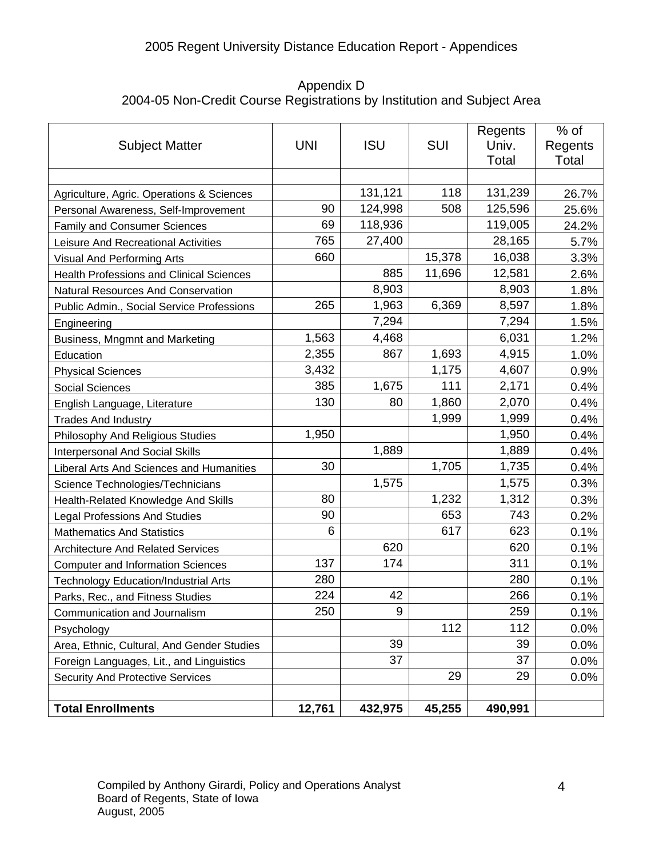### 2005 Regent University Distance Education Report - Appendices

Appendix D 2004-05 Non-Credit Course Registrations by Institution and Subject Area

| <b>Subject Matter</b>                           | <b>UNI</b> | <b>ISU</b> | <b>SUI</b> | Regents<br>Univ. | $%$ of<br>Regents |
|-------------------------------------------------|------------|------------|------------|------------------|-------------------|
|                                                 |            |            |            | Total            | Total             |
|                                                 |            |            |            |                  |                   |
| Agriculture, Agric. Operations & Sciences       |            | 131,121    | 118        | 131,239          | 26.7%             |
| Personal Awareness, Self-Improvement            | 90         | 124,998    | 508        | 125,596          | 25.6%             |
| <b>Family and Consumer Sciences</b>             | 69         | 118,936    |            | 119,005          | 24.2%             |
| Leisure And Recreational Activities             | 765        | 27,400     |            | 28,165           | 5.7%              |
| Visual And Performing Arts                      | 660        |            | 15,378     | 16,038           | 3.3%              |
| <b>Health Professions and Clinical Sciences</b> |            | 885        | 11,696     | 12,581           | 2.6%              |
| <b>Natural Resources And Conservation</b>       |            | 8,903      |            | 8,903            | 1.8%              |
| Public Admin., Social Service Professions       | 265        | 1,963      | 6,369      | 8,597            | 1.8%              |
| Engineering                                     |            | 7,294      |            | 7,294            | 1.5%              |
| Business, Mngmnt and Marketing                  | 1,563      | 4,468      |            | 6,031            | 1.2%              |
| Education                                       | 2,355      | 867        | 1,693      | 4,915            | 1.0%              |
| <b>Physical Sciences</b>                        | 3,432      |            | 1,175      | 4,607            | 0.9%              |
| <b>Social Sciences</b>                          | 385        | 1,675      | 111        | 2,171            | 0.4%              |
| English Language, Literature                    | 130        | 80         | 1,860      | 2,070            | 0.4%              |
| <b>Trades And Industry</b>                      |            |            | 1,999      | 1,999            | 0.4%              |
| Philosophy And Religious Studies                | 1,950      |            |            | 1,950            | 0.4%              |
| <b>Interpersonal And Social Skills</b>          |            | 1,889      |            | 1,889            | 0.4%              |
| Liberal Arts And Sciences and Humanities        | 30         |            | 1,705      | 1,735            | 0.4%              |
| Science Technologies/Technicians                |            | 1,575      |            | 1,575            | 0.3%              |
| Health-Related Knowledge And Skills             | 80         |            | 1,232      | 1,312            | 0.3%              |
| <b>Legal Professions And Studies</b>            | 90         |            | 653        | 743              | 0.2%              |
| <b>Mathematics And Statistics</b>               | 6          |            | 617        | 623              | 0.1%              |
| <b>Architecture And Related Services</b>        |            | 620        |            | 620              | 0.1%              |
| <b>Computer and Information Sciences</b>        | 137        | 174        |            | 311              | 0.1%              |
| <b>Technology Education/Industrial Arts</b>     | 280        |            |            | 280              | 0.1%              |
| Parks, Rec., and Fitness Studies                | 224        | 42         |            | 266              | 0.1%              |
| Communication and Journalism                    | 250        | 9          |            | 259              | 0.1%              |
| Psychology                                      |            |            | 112        | 112              | 0.0%              |
| Area, Ethnic, Cultural, And Gender Studies      |            | 39         |            | 39               | 0.0%              |
| Foreign Languages, Lit., and Linguistics        |            | 37         |            | 37               | 0.0%              |
| <b>Security And Protective Services</b>         |            |            | 29         | 29               | 0.0%              |
|                                                 |            |            |            |                  |                   |
| <b>Total Enrollments</b>                        | 12,761     | 432,975    | 45,255     | 490,991          |                   |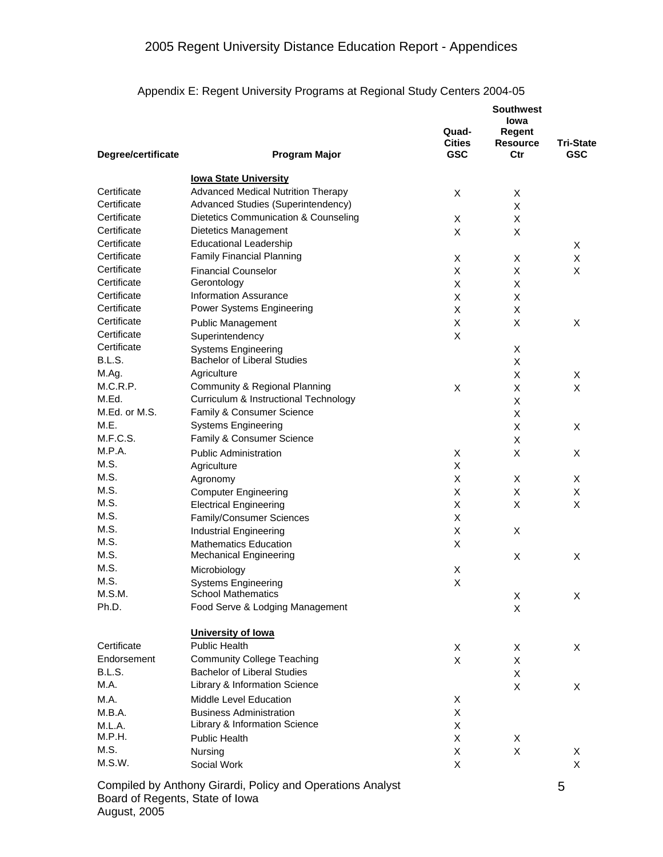|  |  |  | Appendix E: Regent University Programs at Regional Study Centers 2004-05 |
|--|--|--|--------------------------------------------------------------------------|
|  |  |  |                                                                          |

|                    |                                                            | Quad-<br><b>Cities</b> | <b>Southwest</b><br>lowa<br>Regent<br><b>Resource</b> | <b>Tri-State</b> |  |
|--------------------|------------------------------------------------------------|------------------------|-------------------------------------------------------|------------------|--|
| Degree/certificate | <b>Program Major</b>                                       | <b>GSC</b>             | Ctr                                                   | <b>GSC</b>       |  |
|                    | <b>lowa State University</b>                               |                        |                                                       |                  |  |
| Certificate        | <b>Advanced Medical Nutrition Therapy</b>                  | X                      | X                                                     |                  |  |
| Certificate        | Advanced Studies (Superintendency)                         |                        | X                                                     |                  |  |
| Certificate        | Dietetics Communication & Counseling                       | X                      | X                                                     |                  |  |
| Certificate        | Dietetics Management                                       | X                      | X                                                     |                  |  |
| Certificate        | <b>Educational Leadership</b>                              |                        |                                                       | X                |  |
| Certificate        | <b>Family Financial Planning</b>                           | X                      | X                                                     | X                |  |
| Certificate        | <b>Financial Counselor</b>                                 | X                      | X                                                     | X                |  |
| Certificate        | Gerontology                                                | $\mathsf X$            | X                                                     |                  |  |
| Certificate        | <b>Information Assurance</b>                               | Χ                      | X                                                     |                  |  |
| Certificate        | Power Systems Engineering                                  | $\mathsf X$            | X                                                     |                  |  |
| Certificate        | <b>Public Management</b>                                   | X                      | X                                                     | X                |  |
| Certificate        | Superintendency                                            | X                      |                                                       |                  |  |
| Certificate        | <b>Systems Engineering</b>                                 |                        | X                                                     |                  |  |
| B.L.S.             | <b>Bachelor of Liberal Studies</b>                         |                        | X                                                     |                  |  |
| M.Ag.              | Agriculture                                                |                        | X                                                     | X                |  |
| M.C.R.P.           | Community & Regional Planning                              | X                      | X                                                     | X                |  |
| M.Ed.              | Curriculum & Instructional Technology                      |                        | X                                                     |                  |  |
| M.Ed. or M.S.      | Family & Consumer Science                                  |                        | X                                                     |                  |  |
| M.E.               | <b>Systems Engineering</b>                                 |                        | X                                                     | X                |  |
| M.F.C.S.           | Family & Consumer Science                                  |                        | X                                                     |                  |  |
| M.P.A.             | <b>Public Administration</b>                               | X                      | X                                                     | X                |  |
| M.S.               | Agriculture                                                | X                      |                                                       |                  |  |
| M.S.               | Agronomy                                                   | $\mathsf X$            | X                                                     | X                |  |
| M.S.               | <b>Computer Engineering</b>                                | X                      | X                                                     | X                |  |
| M.S.               | <b>Electrical Engineering</b>                              | X                      | X                                                     | X                |  |
| M.S.               | Family/Consumer Sciences                                   | X                      |                                                       |                  |  |
| M.S.               | Industrial Engineering                                     | X                      | X                                                     |                  |  |
| M.S.               | <b>Mathematics Education</b>                               | X                      |                                                       |                  |  |
| M.S.               | <b>Mechanical Engineering</b>                              |                        | Χ                                                     | X                |  |
| M.S.               | Microbiology                                               | X                      |                                                       |                  |  |
| M.S.               | <b>Systems Engineering</b>                                 | X                      |                                                       |                  |  |
| M.S.M.             | <b>School Mathematics</b>                                  |                        | Χ                                                     | X                |  |
| Ph.D.              | Food Serve & Lodging Management                            |                        | X                                                     |                  |  |
|                    | University of lowa                                         |                        |                                                       |                  |  |
| Certificate        | <b>Public Health</b>                                       | X                      | X                                                     | X                |  |
| Endorsement        | <b>Community College Teaching</b>                          | X                      | Χ                                                     |                  |  |
| B.L.S.             | <b>Bachelor of Liberal Studies</b>                         |                        | X                                                     |                  |  |
| M.A.               | Library & Information Science                              |                        | X                                                     | X                |  |
| M.A.               | Middle Level Education                                     | Х                      |                                                       |                  |  |
| M.B.A.             | <b>Business Administration</b>                             | Χ                      |                                                       |                  |  |
| M.L.A.             | Library & Information Science                              | Χ                      |                                                       |                  |  |
| M.P.H.             | Public Health                                              | X                      | Х                                                     |                  |  |
| M.S.               | Nursing                                                    | Χ                      | Χ                                                     | X                |  |
| M.S.W.             | Social Work                                                | Χ                      |                                                       | X                |  |
|                    |                                                            |                        |                                                       |                  |  |
|                    | Compiled by Anthony Girardi, Policy and Operations Analyst |                        |                                                       | 5                |  |

Board of Regents, State of Iowa

August, 2005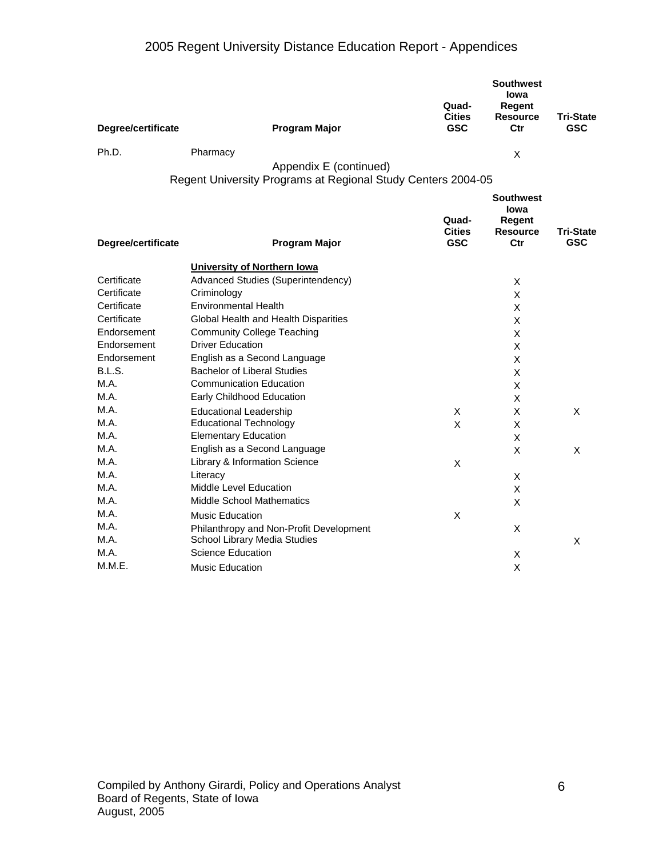# 2005 Regent University Distance Education Report - Appendices

| Degree/certificate | <b>Program Major</b>                                         | Quad-<br><b>Cities</b><br><b>GSC</b> | <b>Southwest</b><br>lowa<br>Regent<br><b>Resource</b><br>Ctr | <b>Tri-State</b><br><b>GSC</b> |
|--------------------|--------------------------------------------------------------|--------------------------------------|--------------------------------------------------------------|--------------------------------|
| Ph.D.              | Pharmacy                                                     |                                      | X                                                            |                                |
|                    | Appendix E (continued)                                       |                                      |                                                              |                                |
|                    | Regent University Programs at Regional Study Centers 2004-05 |                                      |                                                              |                                |
| Degree/certificate | Program Major                                                | Quad-<br><b>Cities</b><br><b>GSC</b> | <b>Southwest</b><br>lowa<br>Regent<br><b>Resource</b><br>Ctr | <b>Tri-State</b><br><b>GSC</b> |
|                    | <b>University of Northern lowa</b>                           |                                      |                                                              |                                |
| Certificate        | Advanced Studies (Superintendency)                           |                                      | X                                                            |                                |
| Certificate        | Criminology                                                  |                                      | X                                                            |                                |
| Certificate        | <b>Environmental Health</b>                                  |                                      | X                                                            |                                |
| Certificate        | Global Health and Health Disparities                         |                                      | X                                                            |                                |
| Endorsement        | <b>Community College Teaching</b>                            |                                      | X                                                            |                                |
| Endorsement        | <b>Driver Education</b>                                      |                                      | X                                                            |                                |
| Endorsement        | English as a Second Language                                 |                                      | X                                                            |                                |
| B.L.S.             | <b>Bachelor of Liberal Studies</b>                           |                                      | X                                                            |                                |
| M.A.               | <b>Communication Education</b>                               |                                      | X                                                            |                                |
| M.A.               | Early Childhood Education                                    |                                      | X                                                            |                                |
| M.A.               | <b>Educational Leadership</b>                                | X                                    | X                                                            | X                              |
| M.A.               | <b>Educational Technology</b>                                | X                                    | X                                                            |                                |
| M.A.               | <b>Elementary Education</b>                                  |                                      | X                                                            |                                |
| M.A.               | English as a Second Language                                 |                                      | X                                                            | $\times$                       |
| M.A.               | Library & Information Science                                | X                                    |                                                              |                                |
| M.A.               | Literacy                                                     |                                      | X                                                            |                                |
| M.A.               | Middle Level Education                                       |                                      | X                                                            |                                |
| M.A.               | Middle School Mathematics                                    |                                      | X                                                            |                                |
| M.A.               | Music Education                                              | X                                    |                                                              |                                |
| M.A.               | Philanthropy and Non-Profit Development                      |                                      | X                                                            |                                |
| M.A.               | School Library Media Studies                                 |                                      |                                                              | X                              |
| M.A.               | Science Education                                            |                                      | X                                                            |                                |
| M.M.E.             | <b>Music Education</b>                                       |                                      | X                                                            |                                |